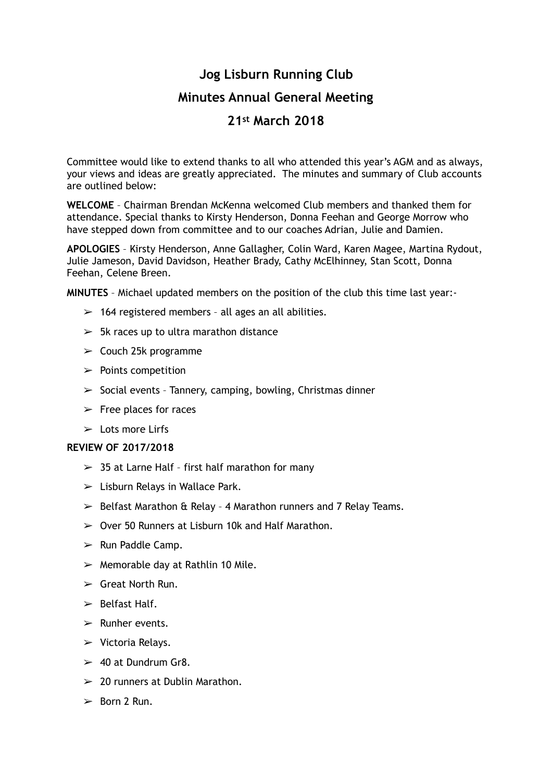# **Jog Lisburn Running Club**

# **Minutes Annual General Meeting**

# **21st March 2018**

Committee would like to extend thanks to all who attended this year's AGM and as always, your views and ideas are greatly appreciated. The minutes and summary of Club accounts are outlined below:

**WELCOME** – Chairman Brendan McKenna welcomed Club members and thanked them for attendance. Special thanks to Kirsty Henderson, Donna Feehan and George Morrow who have stepped down from committee and to our coaches Adrian, Julie and Damien.

**APOLOGIES** – Kirsty Henderson, Anne Gallagher, Colin Ward, Karen Magee, Martina Rydout, Julie Jameson, David Davidson, Heather Brady, Cathy McElhinney, Stan Scott, Donna Feehan, Celene Breen.

**MINUTES** – Michael updated members on the position of the club this time last year:-

- $>$  164 registered members all ages an all abilities.
- $>$  5k races up to ultra marathon distance
- $\geq$  Couch 25k programme
- $\geq$  Points competition
- $\geq$  Social events Tannery, camping, bowling, Christmas dinner
- $\triangleright$  Free places for races
- $\geq$  Lots more Lirfs

#### **REVIEW OF 2017/2018**

- $>$  35 at Larne Half first half marathon for many
- $\blacktriangleright$  Lisburn Relays in Wallace Park.
- $\geq$  Belfast Marathon & Relay 4 Marathon runners and 7 Relay Teams.
- $\geq$  Over 50 Runners at Lisburn 10k and Half Marathon.
- $\triangleright$  Run Paddle Camp.
- $\geq$  Memorable day at Rathlin 10 Mile.
- $\triangleright$  Great North Run.
- $\triangleright$  Belfast Half.
- $\triangleright$  Runher events.
- $\triangleright$  Victoria Relays.
- $\geq 40$  at Dundrum Gr8.
- $\geq 20$  runners at Dublin Marathon.
- $\geq$  Born 2 Run.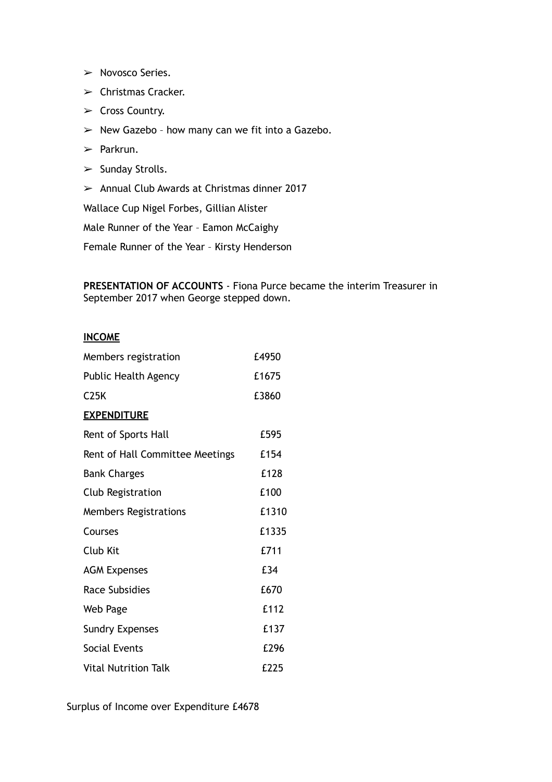- ➢ Novosco Series.
- $\triangleright$  Christmas Cracker.
- ➢ Cross Country.
- $\triangleright$  New Gazebo how many can we fit into a Gazebo.
- $\triangleright$  Parkrun.
- $\blacktriangleright$  Sunday Strolls.
- $\geq$  Annual Club Awards at Christmas dinner 2017

Wallace Cup Nigel Forbes, Gillian Alister

Male Runner of the Year – Eamon McCaighy

Female Runner of the Year – Kirsty Henderson

**PRESENTATION OF ACCOUNTS** - Fiona Purce became the interim Treasurer in September 2017 when George stepped down.

#### **INCOME**

| Members registration            | £4950 |
|---------------------------------|-------|
| Public Health Agency            | £1675 |
| C <sub>25K</sub>                | £3860 |
| <b>EXPENDITURE</b>              |       |
| Rent of Sports Hall             | £595  |
| Rent of Hall Committee Meetings | £154  |
| <b>Bank Charges</b>             | £128  |
| Club Registration               | £100  |
| <b>Members Registrations</b>    | £1310 |
| Courses                         | £1335 |
| Club Kit                        | £711  |
| <b>AGM Expenses</b>             | £34   |
| <b>Race Subsidies</b>           | £670  |
| Web Page                        | £112  |
| <b>Sundry Expenses</b>          | £137  |
| Social Events                   | £296  |
| Vital Nutrition Talk            | £225  |

Surplus of Income over Expenditure £4678